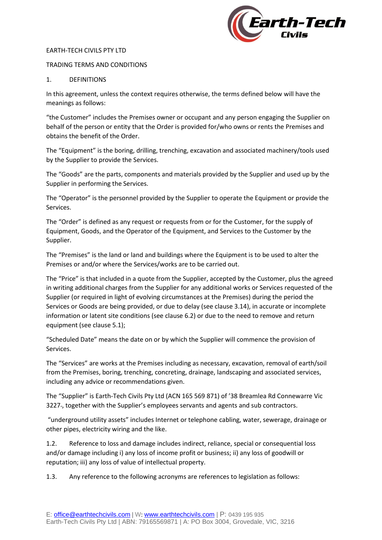

#### EARTH-TECH CIVILS PTY LTD

### TRADING TERMS AND CONDITIONS

### 1. DEFINITIONS

In this agreement, unless the context requires otherwise, the terms defined below will have the meanings as follows:

"the Customer" includes the Premises owner or occupant and any person engaging the Supplier on behalf of the person or entity that the Order is provided for/who owns or rents the Premises and obtains the benefit of the Order.

The "Equipment" is the boring, drilling, trenching, excavation and associated machinery/tools used by the Supplier to provide the Services.

The "Goods" are the parts, components and materials provided by the Supplier and used up by the Supplier in performing the Services.

The "Operator" is the personnel provided by the Supplier to operate the Equipment or provide the Services.

The "Order" is defined as any request or requests from or for the Customer, for the supply of Equipment, Goods, and the Operator of the Equipment, and Services to the Customer by the Supplier.

The "Premises" is the land or land and buildings where the Equipment is to be used to alter the Premises or and/or where the Services/works are to be carried out.

The "Price" is that included in a quote from the Supplier, accepted by the Customer, plus the agreed in writing additional charges from the Supplier for any additional works or Services requested of the Supplier (or required in light of evolving circumstances at the Premises) during the period the Services or Goods are being provided, or due to delay (see clause 3.14), in accurate or incomplete information or latent site conditions (see clause 6.2) or due to the need to remove and return equipment (see clause 5.1);

"Scheduled Date" means the date on or by which the Supplier will commence the provision of Services.

The "Services" are works at the Premises including as necessary, excavation, removal of earth/soil from the Premises, boring, trenching, concreting, drainage, landscaping and associated services, including any advice or recommendations given.

The "Supplier" is Earth-Tech Civils Pty Ltd (ACN 165 569 871) of '38 Breamlea Rd Connewarre Vic 3227 , together with the Supplier's employees servants and agents and sub contractors.

"underground utility assets" includes Internet or telephone cabling, water, sewerage, drainage or other pipes, electricity wiring and the like.

1.2. Reference to loss and damage includes indirect, reliance, special or consequential loss and/or damage including i) any loss of income profit or business; ii) any loss of goodwill or reputation; iii) any loss of value of intellectual property.

1.3. Any reference to the following acronyms are references to legislation as follows: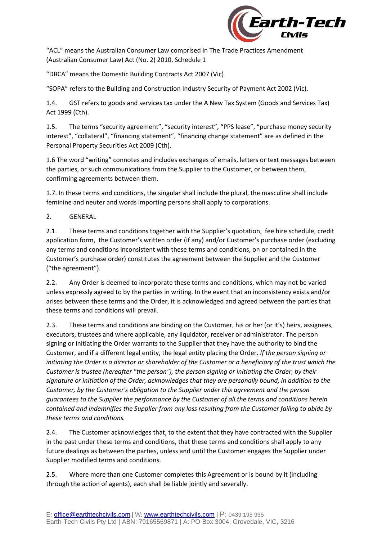

"ACL" means the Australian Consumer Law comprised in The Trade Practices Amendment (Australian Consumer Law) Act (No. 2) 2010, Schedule 1

"DBCA" means the Domestic Building Contracts Act 2007 (Vic)

"SOPA" refers to the Building and Construction Industry Security of Payment Act 2002 (Vic).

1.4. GST refers to goods and services tax under the A New Tax System (Goods and Services Tax) Act 1999 (Cth).

1.5. The terms "security agreement", "security interest", "PPS lease", "purchase money security interest", "collateral", "financing statement", "financing change statement" are as defined in the Personal Property Securities Act 2009 (Cth).

1.6 The word "writing" connotes and includes exchanges of emails, letters or text messages between the parties, or such communications from the Supplier to the Customer, or between them, confirming agreements between them.

1.7. In these terms and conditions, the singular shall include the plural, the masculine shall include feminine and neuter and words importing persons shall apply to corporations.

2. GENERAL

2.1. These terms and conditions together with the Supplier's quotation, fee hire schedule, credit application form, the Customer's written order (if any) and/or Customer's purchase order (excluding any terms and conditions inconsistent with these terms and conditions, on or contained in the Customer's purchase order) constitutes the agreement between the Supplier and the Customer ("the agreement").

2.2. Any Order is deemed to incorporate these terms and conditions, which may not be varied unless expressly agreed to by the parties in writing. In the event that an inconsistency exists and/or arises between these terms and the Order, it is acknowledged and agreed between the parties that these terms and conditions will prevail.

2.3. These terms and conditions are binding on the Customer, his or her (or it's) heirs, assignees, executors, trustees and where applicable, any liquidator, receiver or administrator. The person signing or initiating the Order warrants to the Supplier that they have the authority to bind the Customer, and if a different legal entity, the legal entity placing the Order. *If the person signing or initiating the Order is a director or shareholder of the Customer or a beneficiary of the trust which the Customer is trustee (hereafter "the person"), the person signing or initiating the Order, by their signature or initiation of the Order, acknowledges that they are personally bound, in addition to the Customer, by the Customer's obligation to the Supplier under this agreement and the person guarantees to the Supplier the performance by the Customer of all the terms and conditions herein contained and indemnifies the Supplier from any loss resulting from the Customer failing to abide by these terms and conditions.*

2.4. The Customer acknowledges that, to the extent that they have contracted with the Supplier in the past under these terms and conditions, that these terms and conditions shall apply to any future dealings as between the parties, unless and until the Customer engages the Supplier under Supplier modified terms and conditions.

2.5. Where more than one Customer completes this Agreement or is bound by it (including through the action of agents), each shall be liable jointly and severally.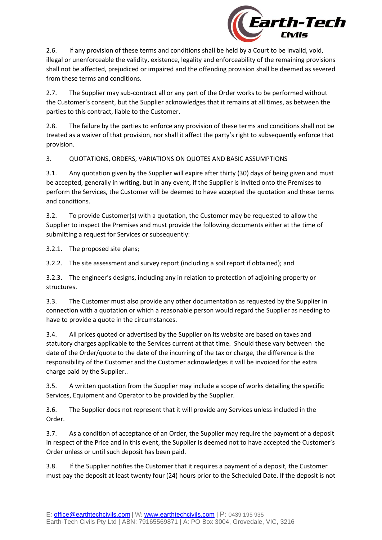

2.6. If any provision of these terms and conditions shall be held by a Court to be invalid, void, illegal or unenforceable the validity, existence, legality and enforceability of the remaining provisions shall not be affected, prejudiced or impaired and the offending provision shall be deemed as severed from these terms and conditions.

2.7. The Supplier may sub-contract all or any part of the Order works to be performed without the Customer's consent, but the Supplier acknowledges that it remains at all times, as between the parties to this contract, liable to the Customer.

2.8. The failure by the parties to enforce any provision of these terms and conditions shall not be treated as a waiver of that provision, nor shall it affect the party's right to subsequently enforce that provision.

3. QUOTATIONS, ORDERS, VARIATIONS ON QUOTES AND BASIC ASSUMPTIONS

3.1. Any quotation given by the Supplier will expire after thirty (30) days of being given and must be accepted, generally in writing, but in any event, if the Supplier is invited onto the Premises to perform the Services, the Customer will be deemed to have accepted the quotation and these terms and conditions.

3.2. To provide Customer(s) with a quotation, the Customer may be requested to allow the Supplier to inspect the Premises and must provide the following documents either at the time of submitting a request for Services or subsequently:

3.2.1. The proposed site plans;

3.2.2. The site assessment and survey report (including a soil report if obtained); and

3.2.3. The engineer's designs, including any in relation to protection of adjoining property or structures.

3.3. The Customer must also provide any other documentation as requested by the Supplier in connection with a quotation or which a reasonable person would regard the Supplier as needing to have to provide a quote in the circumstances.

3.4. All prices quoted or advertised by the Supplier on its website are based on taxes and statutory charges applicable to the Services current at that time. Should these vary between the date of the Order/quote to the date of the incurring of the tax or charge, the difference is the responsibility of the Customer and the Customer acknowledges it will be invoiced for the extra charge paid by the Supplier..

3.5. A written quotation from the Supplier may include a scope of works detailing the specific Services, Equipment and Operator to be provided by the Supplier.

3.6. The Supplier does not represent that it will provide any Services unless included in the Order.

3.7. As a condition of acceptance of an Order, the Supplier may require the payment of a deposit in respect of the Price and in this event, the Supplier is deemed not to have accepted the Customer's Order unless or until such deposit has been paid.

3.8. If the Supplier notifies the Customer that it requires a payment of a deposit, the Customer must pay the deposit at least twenty four (24) hours prior to the Scheduled Date. If the deposit is not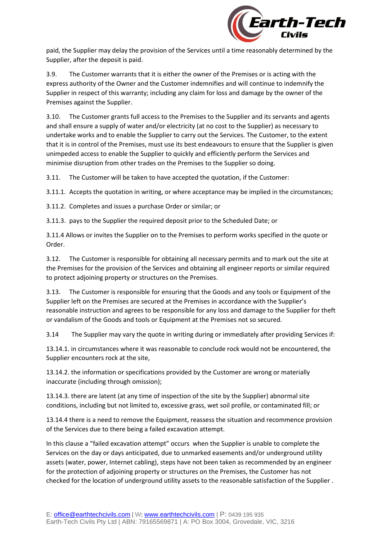

paid, the Supplier may delay the provision of the Services until a time reasonably determined by the Supplier, after the deposit is paid.

3.9. The Customer warrants that it is either the owner of the Premises or is acting with the express authority of the Owner and the Customer indemnifies and will continue to indemnify the Supplier in respect of this warranty; including any claim for loss and damage by the owner of the Premises against the Supplier.

3.10. The Customer grants full access to the Premises to the Supplier and its servants and agents and shall ensure a supply of water and/or electricity (at no cost to the Supplier) as necessary to undertake works and to enable the Supplier to carry out the Services. The Customer, to the extent that it is in control of the Premises, must use its best endeavours to ensure that the Supplier is given unimpeded access to enable the Supplier to quickly and efficiently perform the Services and minimise disruption from other trades on the Premises to the Supplier so doing.

3.11. The Customer will be taken to have accepted the quotation, if the Customer:

3.11.1. Accepts the quotation in writing, or where acceptance may be implied in the circumstances;

3.11.2. Completes and issues a purchase Order or similar; or

3.11.3. pays to the Supplier the required deposit prior to the Scheduled Date; or

3.11.4 Allows or invites the Supplier on to the Premises to perform works specified in the quote or Order.

3.12. The Customer is responsible for obtaining all necessary permits and to mark out the site at the Premises for the provision of the Services and obtaining all engineer reports or similar required to protect adjoining property or structures on the Premises.

3.13. The Customer is responsible for ensuring that the Goods and any tools or Equipment of the Supplier left on the Premises are secured at the Premises in accordance with the Supplier's reasonable instruction and agrees to be responsible for any loss and damage to the Supplier for theft or vandalism of the Goods and tools or Equipment at the Premises not so secured.

3.14 The Supplier may vary the quote in writing during or immediately after providing Services if:

13.14.1. in circumstances where it was reasonable to conclude rock would not be encountered, the Supplier encounters rock at the site,

13.14.2. the information or specifications provided by the Customer are wrong or materially inaccurate (including through omission);

13.14.3. there are latent (at any time of inspection of the site by the Supplier) abnormal site conditions, including but not limited to, excessive grass, wet soil profile, or contaminated fill; or

13.14.4 there is a need to remove the Equipment, reassess the situation and recommence provision of the Services due to there being a failed excavation attempt.

In this clause a "failed excavation attempt" occurs when the Supplier is unable to complete the Services on the day or days anticipated, due to unmarked easements and/or underground utility assets (water, power, Internet cabling), steps have not been taken as recommended by an engineer for the protection of adjoining property or structures on the Premises, the Customer has not checked for the location of underground utility assets to the reasonable satisfaction of the Supplier .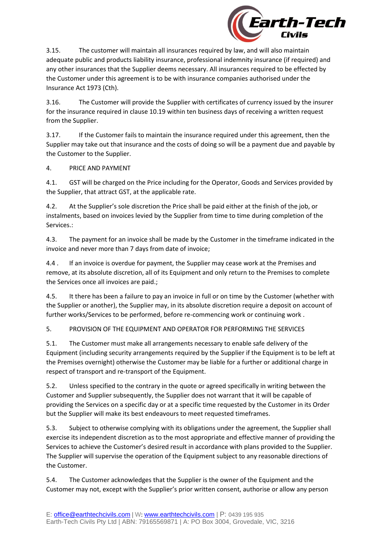

3.15. The customer will maintain all insurances required by law, and will also maintain adequate public and products liability insurance, professional indemnity insurance (if required) and any other insurances that the Supplier deems necessary. All insurances required to be effected by the Customer under this agreement is to be with insurance companies authorised under the Insurance Act 1973 (Cth).

3.16. The Customer will provide the Supplier with certificates of currency issued by the insurer for the insurance required in clause 10.19 within ten business days of receiving a written request from the Supplier.

3.17. If the Customer fails to maintain the insurance required under this agreement, then the Supplier may take out that insurance and the costs of doing so will be a payment due and payable by the Customer to the Supplier.

## 4. PRICE AND PAYMENT

4.1. GST will be charged on the Price including for the Operator, Goods and Services provided by the Supplier, that attract GST, at the applicable rate.

4.2. At the Supplier's sole discretion the Price shall be paid either at the finish of the job, or instalments, based on invoices levied by the Supplier from time to time during completion of the Services.:

4.3. The payment for an invoice shall be made by the Customer in the timeframe indicated in the invoice and never more than 7 days from date of invoice;

4.4 . If an invoice is overdue for payment, the Supplier may cease work at the Premises and remove, at its absolute discretion, all of its Equipment and only return to the Premises to complete the Services once all invoices are paid.;

4.5. It there has been a failure to pay an invoice in full or on time by the Customer (whether with the Supplier or another), the Supplier may, in its absolute discretion require a deposit on account of further works/Services to be performed, before re-commencing work or continuing work .

5. PROVISION OF THE EQUIPMENT AND OPERATOR FOR PERFORMING THE SERVICES

5.1. The Customer must make all arrangements necessary to enable safe delivery of the Equipment (including security arrangements required by the Supplier if the Equipment is to be left at the Premises overnight) otherwise the Customer may be liable for a further or additional charge in respect of transport and re-transport of the Equipment.

5.2. Unless specified to the contrary in the quote or agreed specifically in writing between the Customer and Supplier subsequently, the Supplier does not warrant that it will be capable of providing the Services on a specific day or at a specific time requested by the Customer in its Order but the Supplier will make its best endeavours to meet requested timeframes.

5.3. Subject to otherwise complying with its obligations under the agreement, the Supplier shall exercise its independent discretion as to the most appropriate and effective manner of providing the Services to achieve the Customer's desired result in accordance with plans provided to the Supplier. The Supplier will supervise the operation of the Equipment subject to any reasonable directions of the Customer.

5.4. The Customer acknowledges that the Supplier is the owner of the Equipment and the Customer may not, except with the Supplier's prior written consent, authorise or allow any person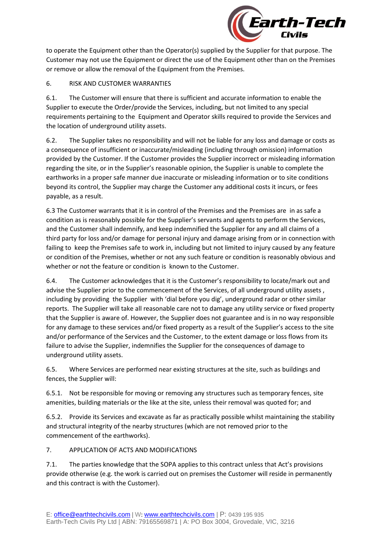

to operate the Equipment other than the Operator(s) supplied by the Supplier for that purpose. The Customer may not use the Equipment or direct the use of the Equipment other than on the Premises or remove or allow the removal of the Equipment from the Premises.

# 6. RISK AND CUSTOMER WARRANTIES

6.1. The Customer will ensure that there is sufficient and accurate information to enable the Supplier to execute the Order/provide the Services, including, but not limited to any special requirements pertaining to the Equipment and Operator skills required to provide the Services and the location of underground utility assets.

6.2. The Supplier takes no responsibility and will not be liable for any loss and damage or costs as a consequence of insufficient or inaccurate/misleading (including through omission) information provided by the Customer. If the Customer provides the Supplier incorrect or misleading information regarding the site, or in the Supplier's reasonable opinion, the Supplier is unable to complete the earthworks in a proper safe manner due inaccurate or misleading information or to site conditions beyond its control, the Supplier may charge the Customer any additional costs it incurs, or fees payable, as a result.

6.3 The Customer warrants that it is in control of the Premises and the Premises are in as safe a condition as is reasonably possible for the Supplier's servants and agents to perform the Services, and the Customer shall indemnify, and keep indemnified the Supplier for any and all claims of a third party for loss and/or damage for personal injury and damage arising from or in connection with failing to keep the Premises safe to work in, including but not limited to injury caused by any feature or condition of the Premises, whether or not any such feature or condition is reasonably obvious and whether or not the feature or condition is known to the Customer.

6.4. The Customer acknowledges that it is the Customer's responsibility to locate/mark out and advise the Supplier prior to the commencement of the Services, of all underground utility assets , including by providing the Supplier with 'dial before you dig', underground radar or other similar reports. The Supplier will take all reasonable care not to damage any utility service or fixed property that the Supplier is aware of. However, the Supplier does not guarantee and is in no way responsible for any damage to these services and/or fixed property as a result of the Supplier's access to the site and/or performance of the Services and the Customer, to the extent damage or loss flows from its failure to advise the Supplier, indemnifies the Supplier for the consequences of damage to underground utility assets.

6.5. Where Services are performed near existing structures at the site, such as buildings and fences, the Supplier will:

6.5.1. Not be responsible for moving or removing any structures such as temporary fences, site amenities, building materials or the like at the site, unless their removal was quoted for; and

6.5.2. Provide its Services and excavate as far as practically possible whilst maintaining the stability and structural integrity of the nearby structures (which are not removed prior to the commencement of the earthworks).

7. APPLICATION OF ACTS AND MODIFICATIONS

7.1. The parties knowledge that the SOPA applies to this contract unless that Act's provisions provide otherwise (e.g. the work is carried out on premises the Customer will reside in permanently and this contract is with the Customer).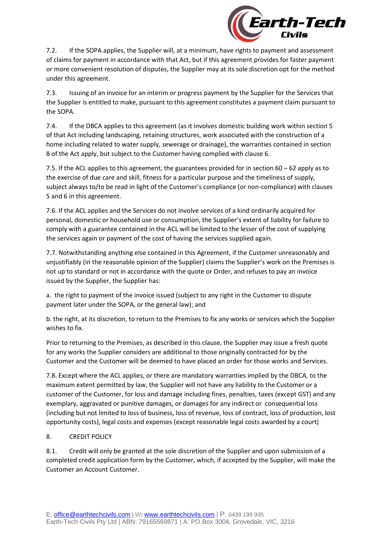

7.2. If the SOPA applies, the Supplier will, at a minimum, have rights to payment and assessment of claims for payment in accordance with that Act, but if this agreement provides for faster payment or more convenient resolution of disputes, the Supplier may at its sole discretion opt for the method under this agreement.

7.3. Issuing of an invoice for an interim or progress payment by the Supplier for the Services that the Supplier is entitled to make, pursuant to this agreement constitutes a payment claim pursuant to the SOPA.

7.4. If the DBCA applies to this agreement (as it involves domestic building work within section 5 of that Act including landscaping, retaining structures, work associated with the construction of a home including related to water supply, sewerage or drainage), the warranties contained in section 8 of the Act apply, but subject to the Customer having complied with clause 6.

7.5. If the ACL applies to this agreement, the guarantees provided for in section 60 – 62 apply as to the exercise of due care and skill, fitness for a particular purpose and the timeliness of supply, subject always to/to be read in light of the Customer's compliance (or non-compliance) with clauses 5 and 6 in this agreement.

7.6. If the ACL applies and the Services do not involve services of a kind ordinarily acquired for personal, domestic or household use or consumption, the Supplier's extent of liability for failure to comply with a guarantee contained in the ACL will be limited to the lesser of the cost of supplying the services again or payment of the cost of having the services supplied again.

7.7. Notwithstanding anything else contained in this Agreement, if the Customer unreasonably and unjustifiably (in the reasonable opinion of the Supplier) claims the Supplier's work on the Premises is not up to standard or not in accordance with the quote or Order, and refuses to pay an invoice issued by the Supplier, the Supplier has:

a. the right to payment of the invoice issued (subject to any right in the Customer to dispute payment later under the SOPA, or the general law); and

b. the right, at its discretion, to return to the Premises to fix any works or services which the Supplier wishes to fix.

Prior to returning to the Premises, as described in this clause, the Supplier may issue a fresh quote for any works the Supplier considers are additional to those originally contracted for by the Customer and the Customer will be deemed to have placed an order for those works and Services.

7.8. Except where the ACL applies, or there are mandatory warranties implied by the DBCA, to the maximum extent permitted by law, the Supplier will not have any liability to the Customer or a customer of the Customer, for loss and damage including fines, penalties, taxes (except GST) and any exemplary, aggravated or punitive damages, or damages for any indirect or consequential loss (including but not limited to loss of business, loss of revenue, loss of contract, loss of production, lost opportunity costs), legal costs and expenses (except reasonable legal costs awarded by a court)

## 8. CREDIT POLICY

8.1. Credit will only be granted at the sole discretion of the Supplier and upon submission of a completed credit application form by the Customer, which, if accepted by the Supplier, will make the Customer an Account Customer.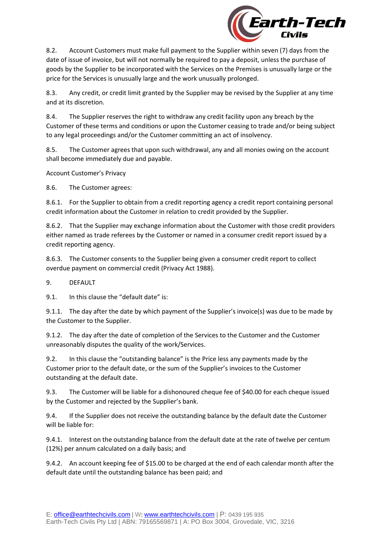

8.2. Account Customers must make full payment to the Supplier within seven (7) days from the date of issue of invoice, but will not normally be required to pay a deposit, unless the purchase of goods by the Supplier to be incorporated with the Services on the Premises is unusually large or the price for the Services is unusually large and the work unusually prolonged.

8.3. Any credit, or credit limit granted by the Supplier may be revised by the Supplier at any time and at its discretion.

8.4. The Supplier reserves the right to withdraw any credit facility upon any breach by the Customer of these terms and conditions or upon the Customer ceasing to trade and/or being subject to any legal proceedings and/or the Customer committing an act of insolvency.

8.5. The Customer agrees that upon such withdrawal, any and all monies owing on the account shall become immediately due and payable.

Account Customer's Privacy

8.6. The Customer agrees:

8.6.1. For the Supplier to obtain from a credit reporting agency a credit report containing personal credit information about the Customer in relation to credit provided by the Supplier.

8.6.2. That the Supplier may exchange information about the Customer with those credit providers either named as trade referees by the Customer or named in a consumer credit report issued by a credit reporting agency.

8.6.3. The Customer consents to the Supplier being given a consumer credit report to collect overdue payment on commercial credit (Privacy Act 1988).

9. DEFAULT

9.1. In this clause the "default date" is:

9.1.1. The day after the date by which payment of the Supplier's invoice(s) was due to be made by the Customer to the Supplier.

9.1.2. The day after the date of completion of the Services to the Customer and the Customer unreasonably disputes the quality of the work/Services.

9.2. In this clause the "outstanding balance" is the Price less any payments made by the Customer prior to the default date, or the sum of the Supplier's invoices to the Customer outstanding at the default date.

9.3. The Customer will be liable for a dishonoured cheque fee of \$40.00 for each cheque issued by the Customer and rejected by the Supplier's bank.

9.4. If the Supplier does not receive the outstanding balance by the default date the Customer will be liable for:

9.4.1. Interest on the outstanding balance from the default date at the rate of twelve per centum (12%) per annum calculated on a daily basis; and

9.4.2. An account keeping fee of \$15.00 to be charged at the end of each calendar month after the default date until the outstanding balance has been paid; and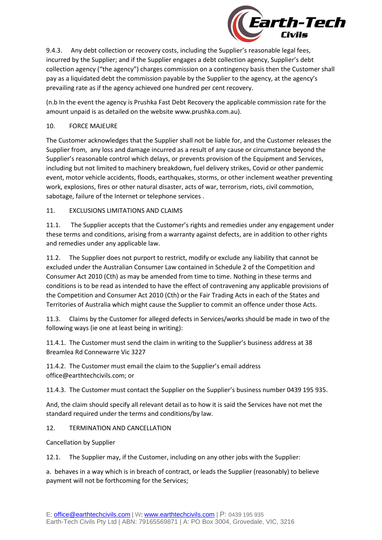

9.4.3. Any debt collection or recovery costs, including the Supplier's reasonable legal fees, incurred by the Supplier; and if the Supplier engages a debt collection agency, Supplier's debt collection agency ("the agency") charges commission on a contingency basis then the Customer shall pay as a liquidated debt the commission payable by the Supplier to the agency, at the agency's prevailing rate as if the agency achieved one hundred per cent recovery.

(n.b In the event the agency is Prushka Fast Debt Recovery the applicable commission rate for the amount unpaid is as detailed on the website www.prushka.com.au).

## 10. FORCE MAJEURE

The Customer acknowledges that the Supplier shall not be liable for, and the Customer releases the Supplier from, any loss and damage incurred as a result of any cause or circumstance beyond the Supplier's reasonable control which delays, or prevents provision of the Equipment and Services, including but not limited to machinery breakdown, fuel delivery strikes, Covid or other pandemic event, motor vehicle accidents, floods, earthquakes, storms, or other inclement weather preventing work, explosions, fires or other natural disaster, acts of war, terrorism, riots, civil commotion, sabotage, failure of the Internet or telephone services .

# 11. EXCLUSIONS LIMITATIONS AND CLAIMS

11.1. The Supplier accepts that the Customer's rights and remedies under any engagement under these terms and conditions, arising from a warranty against defects, are in addition to other rights and remedies under any applicable law.

11.2. The Supplier does not purport to restrict, modify or exclude any liability that cannot be excluded under the Australian Consumer Law contained in Schedule 2 of the Competition and Consumer Act 2010 (Cth) as may be amended from time to time. Nothing in these terms and conditions is to be read as intended to have the effect of contravening any applicable provisions of the Competition and Consumer Act 2010 (Cth) or the Fair Trading Acts in each of the States and Territories of Australia which might cause the Supplier to commit an offence under those Acts.

11.3. Claims by the Customer for alleged defects in Services/works should be made in two of the following ways (ie one at least being in writing):

11.4.1. The Customer must send the claim in writing to the Supplier's business address at 38 Breamlea Rd Connewarre Vic 3227

11.4.2. The Customer must email the claim to the Supplier's email address office@earthtechcivils.com; or

11.4.3. The Customer must contact the Supplier on the Supplier's business number 0439 195 935.

And, the claim should specify all relevant detail as to how it is said the Services have not met the standard required under the terms and conditions/by law.

## 12. TERMINATION AND CANCELLATION

Cancellation by Supplier

12.1. The Supplier may, if the Customer, including on any other jobs with the Supplier:

a. behaves in a way which is in breach of contract, or leads the Supplier (reasonably) to believe payment will not be forthcoming for the Services;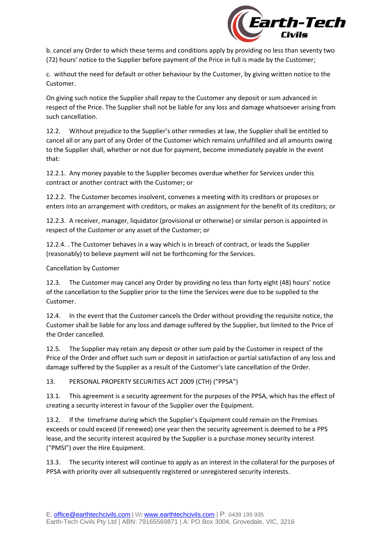

b. cancel any Order to which these terms and conditions apply by providing no less than seventy two (72) hours' notice to the Supplier before payment of the Price in full is made by the Customer;

c. without the need for default or other behaviour by the Customer, by giving written notice to the Customer.

On giving such notice the Supplier shall repay to the Customer any deposit or sum advanced in respect of the Price. The Supplier shall not be liable for any loss and damage whatsoever arising from such cancellation.

12.2. Without prejudice to the Supplier's other remedies at law, the Supplier shall be entitled to cancel all or any part of any Order of the Customer which remains unfulfilled and all amounts owing to the Supplier shall, whether or not due for payment, become immediately payable in the event that:

12.2.1. Any money payable to the Supplier becomes overdue whether for Services under this contract or another contract with the Customer; or

12.2.2. The Customer becomes insolvent, convenes a meeting with its creditors or proposes or enters into an arrangement with creditors, or makes an assignment for the benefit of its creditors; or

12.2.3. A receiver, manager, liquidator (provisional or otherwise) or similar person is appointed in respect of the Customer or any asset of the Customer; or

12.2.4. . The Customer behaves in a way which is in breach of contract, or leads the Supplier (reasonably) to believe payment will not be forthcoming for the Services.

Cancellation by Customer

12.3. The Customer may cancel any Order by providing no less than forty eight (48) hours' notice of the cancellation to the Supplier prior to the time the Services were due to be supplied to the Customer.

12.4. In the event that the Customer cancels the Order without providing the requisite notice, the Customer shall be liable for any loss and damage suffered by the Supplier, but limited to the Price of the Order cancelled.

12.5. The Supplier may retain any deposit or other sum paid by the Customer in respect of the Price of the Order and offset such sum or deposit in satisfaction or partial satisfaction of any loss and damage suffered by the Supplier as a result of the Customer's late cancellation of the Order.

13. PERSONAL PROPERTY SECURITIES ACT 2009 (CTH) ("PPSA")

13.1. This agreement is a security agreement for the purposes of the PPSA, which has the effect of creating a security interest in favour of the Supplier over the Equipment.

13.2. If the timeframe during which the Supplier's Equipment could remain on the Premises exceeds or could exceed (if renewed) one year then the security agreement is deemed to be a PPS lease, and the security interest acquired by the Supplier is a purchase money security interest ("PMSI") over the Hire Equipment.

13.3. The security interest will continue to apply as an interest in the collateral for the purposes of PPSA with priority over all subsequently registered or unregistered security interests.